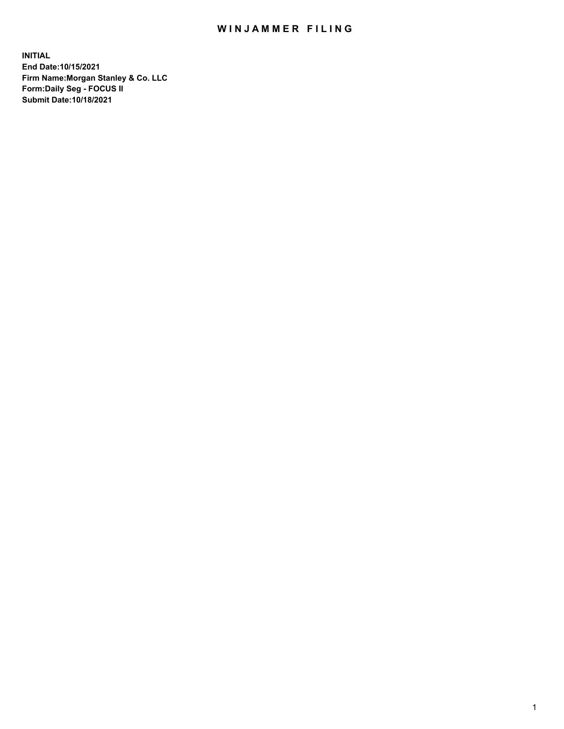## WIN JAMMER FILING

**INITIAL End Date:10/15/2021 Firm Name:Morgan Stanley & Co. LLC Form:Daily Seg - FOCUS II Submit Date:10/18/2021**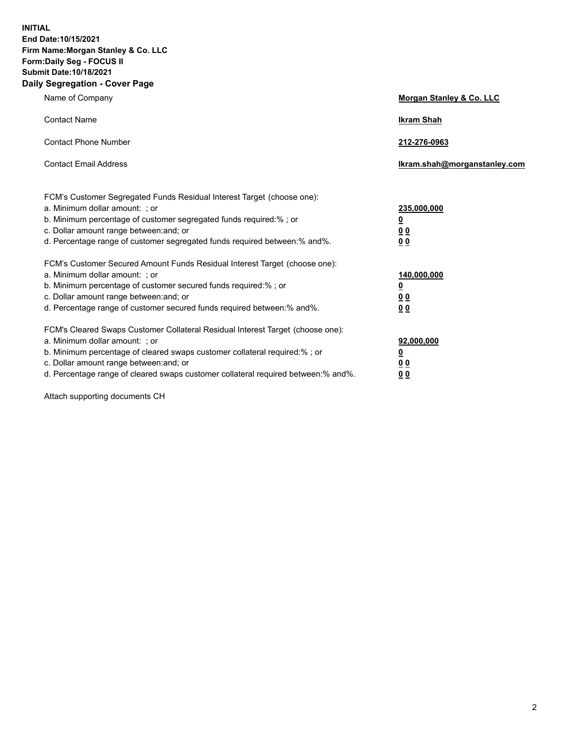**INITIAL End Date:10/15/2021 Firm Name:Morgan Stanley & Co. LLC Form:Daily Seg - FOCUS II Submit Date:10/18/2021 Daily Segregation - Cover Page**

| Name of Company                                                                                                                                                                                                                                                                                                                | Morgan Stanley & Co. LLC                                |
|--------------------------------------------------------------------------------------------------------------------------------------------------------------------------------------------------------------------------------------------------------------------------------------------------------------------------------|---------------------------------------------------------|
| <b>Contact Name</b>                                                                                                                                                                                                                                                                                                            | <b>Ikram Shah</b>                                       |
| <b>Contact Phone Number</b>                                                                                                                                                                                                                                                                                                    | 212-276-0963                                            |
| <b>Contact Email Address</b>                                                                                                                                                                                                                                                                                                   | Ikram.shah@morganstanley.com                            |
| FCM's Customer Segregated Funds Residual Interest Target (choose one):<br>a. Minimum dollar amount: ; or<br>b. Minimum percentage of customer segregated funds required:%; or<br>c. Dollar amount range between: and; or<br>d. Percentage range of customer segregated funds required between: % and %.                        | 235,000,000<br><u>0</u><br>00<br>0 Q                    |
| FCM's Customer Secured Amount Funds Residual Interest Target (choose one):<br>a. Minimum dollar amount: ; or<br>b. Minimum percentage of customer secured funds required:%; or<br>c. Dollar amount range between: and; or<br>d. Percentage range of customer secured funds required between:% and%.                            | 140,000,000<br><u>0</u><br><u>0 0</u><br>0 <sub>0</sub> |
| FCM's Cleared Swaps Customer Collateral Residual Interest Target (choose one):<br>a. Minimum dollar amount: ; or<br>b. Minimum percentage of cleared swaps customer collateral required:% ; or<br>c. Dollar amount range between: and; or<br>d. Percentage range of cleared swaps customer collateral required between:% and%. | 92,000,000<br><u>0</u><br><u>00</u><br>00               |

Attach supporting documents CH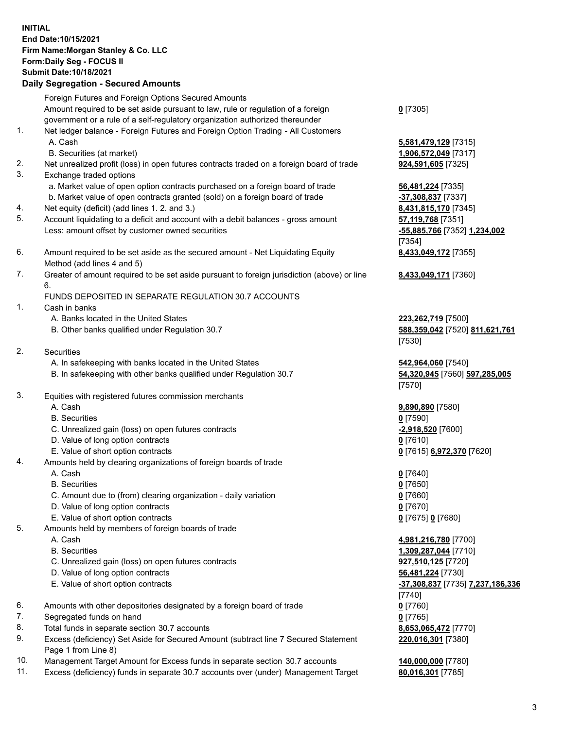## **INITIAL End Date:10/15/2021 Firm Name:Morgan Stanley & Co. LLC Form:Daily Seg - FOCUS II Submit Date:10/18/2021**

**Daily Segregation - Secured Amounts** Foreign Futures and Foreign Options Secured Amounts Amount required to be set aside pursuant to law, rule or regulation of a foreign government or a rule of a self-regulatory organization authorized thereunder 1. Net ledger balance - Foreign Futures and Foreign Option Trading - All Customers A. Cash **5,581,479,129** [7315] B. Securities (at market) **1,906,572,049** [7317] 2. Net unrealized profit (loss) in open futures contracts traded on a foreign board of trade **924,591,605** [7325] 3. Exchange traded options a. Market value of open option contracts purchased on a foreign board of trade **56,481,224** [7335] b. Market value of open contracts granted (sold) on a foreign board of trade **-37,308,837** [7337] 4. Net equity (deficit) (add lines 1. 2. and 3.) **8,431,815,170** [7345] 5. Account liquidating to a deficit and account with a debit balances - gross amount **57,119,768** [7351] Less: amount offset by customer owned securities **-55,885,766** [7352] **1,234,002** 6. Amount required to be set aside as the secured amount - Net Liquidating Equity Method (add lines 4 and 5) 7. Greater of amount required to be set aside pursuant to foreign jurisdiction (above) or line 6. FUNDS DEPOSITED IN SEPARATE REGULATION 30.7 ACCOUNTS 1. Cash in banks A. Banks located in the United States **223,262,719** [7500] B. Other banks qualified under Regulation 30.7 **588,359,042** [7520] **811,621,761** 2. Securities A. In safekeeping with banks located in the United States **542,964,060** [7540] B. In safekeeping with other banks qualified under Regulation 30.7 **54,320,945** [7560] **597,285,005** 3. Equities with registered futures commission merchants A. Cash **9,890,890** [7580] B. Securities **0** [7590] C. Unrealized gain (loss) on open futures contracts **-2,918,520** [7600] D. Value of long option contracts **0** [7610] E. Value of short option contracts **0** [7615] **6,972,370** [7620] 4. Amounts held by clearing organizations of foreign boards of trade A. Cash **0** [7640] B. Securities **0** [7650] C. Amount due to (from) clearing organization - daily variation **0** [7660]

- D. Value of long option contracts **0** [7670]
- E. Value of short option contracts **0** [7675] **0** [7680]
- 5. Amounts held by members of foreign boards of trade
	-
	-
	- C. Unrealized gain (loss) on open futures contracts **927,510,125** [7720]
	- D. Value of long option contracts **56,481,224** [7730]
	- E. Value of short option contracts **-37,308,837** [7735] **7,237,186,336**
- 6. Amounts with other depositories designated by a foreign board of trade **0** [7760]
- 7. Segregated funds on hand **0** [7765]
- 8. Total funds in separate section 30.7 accounts **8,653,065,472** [7770]
- 9. Excess (deficiency) Set Aside for Secured Amount (subtract line 7 Secured Statement Page 1 from Line 8)
- 10. Management Target Amount for Excess funds in separate section 30.7 accounts **140,000,000** [7780]
- 11. Excess (deficiency) funds in separate 30.7 accounts over (under) Management Target **80,016,301** [7785]

**0** [7305]

[7354] **8,433,049,172** [7355]

**8,433,049,171** [7360]

[7530]

[7570]

 A. Cash **4,981,216,780** [7700] B. Securities **1,309,287,044** [7710] [7740] **220,016,301** [7380]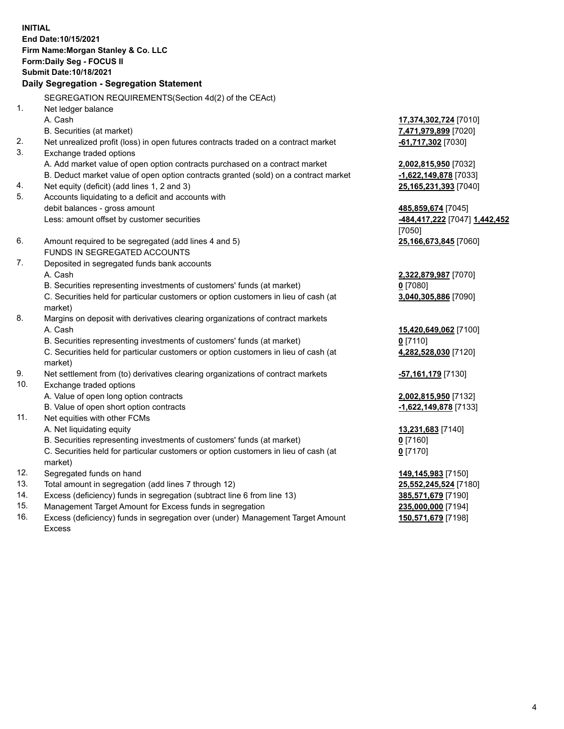**INITIAL End Date:10/15/2021 Firm Name:Morgan Stanley & Co. LLC Form:Daily Seg - FOCUS II Submit Date:10/18/2021 Daily Segregation - Segregation Statement** SEGREGATION REQUIREMENTS(Section 4d(2) of the CEAct) 1. Net ledger balance A. Cash **17,374,302,724** [7010] B. Securities (at market) **7,471,979,899** [7020] 2. Net unrealized profit (loss) in open futures contracts traded on a contract market **-61,717,302** [7030] 3. Exchange traded options A. Add market value of open option contracts purchased on a contract market **2,002,815,950** [7032] B. Deduct market value of open option contracts granted (sold) on a contract market **-1,622,149,878** [7033] 4. Net equity (deficit) (add lines 1, 2 and 3) **25,165,231,393** [7040] 5. Accounts liquidating to a deficit and accounts with debit balances - gross amount **485,859,674** [7045] Less: amount offset by customer securities **-484,417,222** [7047] **1,442,452** [7050] 6. Amount required to be segregated (add lines 4 and 5) **25,166,673,845** [7060] FUNDS IN SEGREGATED ACCOUNTS 7. Deposited in segregated funds bank accounts A. Cash **2,322,879,987** [7070] B. Securities representing investments of customers' funds (at market) **0** [7080] C. Securities held for particular customers or option customers in lieu of cash (at market) **3,040,305,886** [7090] 8. Margins on deposit with derivatives clearing organizations of contract markets A. Cash **15,420,649,062** [7100] B. Securities representing investments of customers' funds (at market) **0** [7110] C. Securities held for particular customers or option customers in lieu of cash (at market) **4,282,528,030** [7120] 9. Net settlement from (to) derivatives clearing organizations of contract markets **-57,161,179** [7130] 10. Exchange traded options A. Value of open long option contracts **2,002,815,950** [7132] B. Value of open short option contracts **-1,622,149,878** [7133] 11. Net equities with other FCMs A. Net liquidating equity **13,231,683** [7140] B. Securities representing investments of customers' funds (at market) **0** [7160] C. Securities held for particular customers or option customers in lieu of cash (at market) **0** [7170] 12. Segregated funds on hand **149,145,983** [7150] 13. Total amount in segregation (add lines 7 through 12) **25,552,245,524** [7180] 14. Excess (deficiency) funds in segregation (subtract line 6 from line 13) **385,571,679** [7190]

- 15. Management Target Amount for Excess funds in segregation **235,000,000** [7194]
- 16. Excess (deficiency) funds in segregation over (under) Management Target Amount Excess

**150,571,679** [7198]